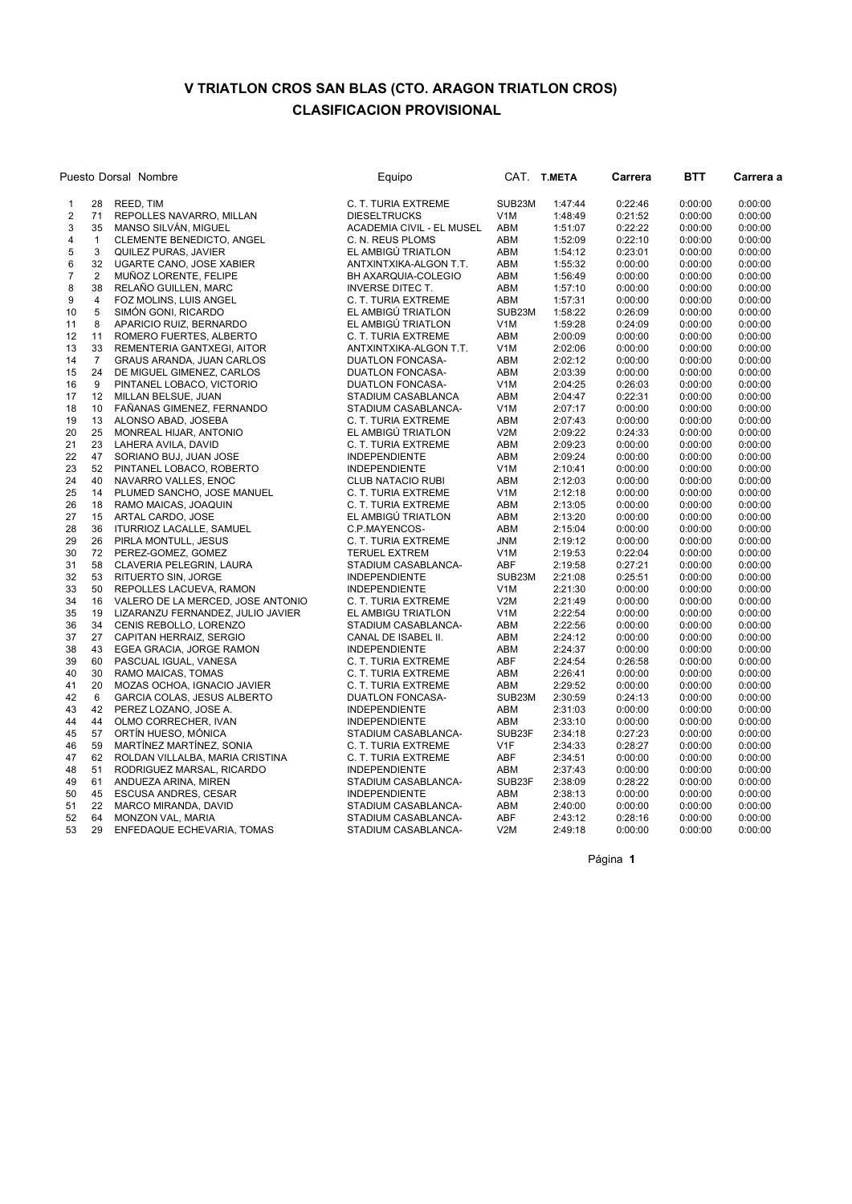## V TRIATLON CROS SAN BLAS (CTO. ARAGON TRIATLON CROS) CLASIFICACION PROVISIONAL

| Puesto Dorsal Nombre    |                |                                                     | Equipo                                      |                  | CAT. T.META        | Carrera            | <b>BTT</b>         | Carrera a          |
|-------------------------|----------------|-----------------------------------------------------|---------------------------------------------|------------------|--------------------|--------------------|--------------------|--------------------|
| 1                       | 28             | REED, TIM                                           | C. T. TURIA EXTREME                         | SUB23M           | 1:47:44            | 0:22:46            | 0:00:00            | 0:00:00            |
| $\overline{c}$          | 71             | REPOLLES NAVARRO, MILLAN                            | <b>DIESELTRUCKS</b>                         | V <sub>1</sub> M | 1:48:49            | 0:21:52            | 0:00:00            | 0:00:00            |
| 3                       | 35             | MANSO SILVÁN, MIGUEL                                | ACADEMIA CIVIL - EL MUSEL                   | ABM              | 1:51:07            | 0:22:22            | 0:00:00            | 0:00:00            |
| $\overline{\mathbf{4}}$ | $\mathbf{1}$   | CLEMENTE BENEDICTO, ANGEL                           | C. N. REUS PLOMS                            | ABM              | 1:52:09            | 0:22:10            | 0:00:00            | 0:00:00            |
| 5                       | 3              | QUILEZ PURAS, JAVIER                                | EL AMBIGÚ TRIATLON                          | ABM              | 1:54:12            | 0:23:01            | 0:00:00            | 0:00:00            |
| 6                       | 32             | UGARTE CANO, JOSE XABIER                            | ANTXINTXIKA-ALGON T.T.                      | ABM              | 1:55:32            | 0:00:00            | 0:00:00            | 0:00:00            |
| $\overline{7}$          | $\overline{2}$ | MUÑOZ LORENTE, FELIPE                               | BH AXARQUIA-COLEGIO                         | ABM              | 1:56:49            | 0:00:00            | 0:00:00            | 0:00:00            |
| 8                       | 38             | RELAÑO GUILLEN, MARC                                | <b>INVERSE DITEC T.</b>                     | ABM              | 1:57:10            | 0:00:00            | 0:00:00            | 0:00:00            |
| 9                       | $\overline{4}$ | FOZ MOLINS, LUIS ANGEL                              | C. T. TURIA EXTREME                         | ABM              | 1:57:31            | 0:00:00            | 0:00:00            | 0:00:00            |
| 10                      | 5              | SIMÓN GONI, RICARDO                                 | EL AMBIGÚ TRIATLON                          | SUB23M           | 1:58:22            | 0:26:09            | 0:00:00            | 0:00:00            |
| 11                      | 8              | APARICIO RUIZ, BERNARDO                             | EL AMBIGÚ TRIATLON                          | V <sub>1</sub> M | 1:59:28            | 0:24:09            | 0:00:00            | 0:00:00            |
| 12                      | 11             | ROMERO FUERTES, ALBERTO                             | C. T. TURIA EXTREME                         | ABM              | 2:00:09            | 0:00:00            | 0:00:00            | 0:00:00            |
| 13                      | 33             | REMENTERIA GANTXEGI, AITOR                          | ANTXINTXIKA-ALGON T.T.                      | V <sub>1</sub> M | 2:02:06            | 0:00:00            | 0:00:00            | 0:00:00            |
| 14                      | $\overline{7}$ | <b>GRAUS ARANDA, JUAN CARLOS</b>                    | DUATLON FONCASA-                            | ABM              | 2:02:12            | 0:00:00            | 0:00:00            | 0:00:00            |
| 15                      | 24             | DE MIGUEL GIMENEZ, CARLOS                           | <b>DUATLON FONCASA-</b>                     | ABM              | 2:03:39            | 0:00:00            | 0:00:00            | 0:00:00            |
| 16                      | 9              | PINTANEL LOBACO, VICTORIO                           | <b>DUATLON FONCASA-</b>                     | V <sub>1</sub> M | 2:04:25            | 0:26:03            | 0:00:00            | 0:00:00            |
| 17                      | 12             | MILLAN BELSUE, JUAN                                 | STADIUM CASABLANCA                          | ABM              | 2:04:47            | 0:22:31            | 0:00:00            | 0:00:00            |
| 18                      | 10             | FAÑANAS GIMENEZ, FERNANDO                           | STADIUM CASABLANCA-                         | V <sub>1</sub> M | 2:07:17            | 0:00:00            | 0:00:00            | 0:00:00            |
| 19                      | 13             | ALONSO ABAD, JOSEBA                                 | C. T. TURIA EXTREME                         | ABM              | 2:07:43            | 0:00:00            | 0:00:00            | 0:00:00            |
| 20                      | 25             | MONREAL HIJAR, ANTONIO                              | EL AMBIGU TRIATLON                          | V2M              | 2:09:22            | 0:24:33            | 0:00:00            | 0:00:00            |
| 21                      | 23             | LAHERA AVILA, DAVID                                 | C. T. TURIA EXTREME                         | ABM              | 2:09:23            | 0:00:00            | 0:00:00            | 0:00:00            |
| 22                      | 47             | SORIANO BUJ, JUAN JOSE                              | <b>INDEPENDIENTE</b>                        | ABM              | 2:09:24            | 0:00:00            | 0:00:00            | 0:00:00            |
| 23                      | 52             | PINTANEL LOBACO, ROBERTO                            | <b>INDEPENDIENTE</b>                        | V <sub>1</sub> M | 2:10:41            | 0:00:00            | 0:00:00            | 0:00:00            |
| 24                      | 40             | NAVARRO VALLES, ENOC                                | <b>CLUB NATACIO RUBI</b>                    | ABM              | 2:12:03            | 0:00:00            | 0:00:00            | 0:00:00            |
| 25                      | 14             | PLUMED SANCHO, JOSE MANUEL                          | C. T. TURIA EXTREME                         | V <sub>1</sub> M | 2:12:18            | 0:00:00            | 0:00:00            | 0:00:00            |
| 26                      | 18             | RAMO MAICAS, JOAQUIN                                | C. T. TURIA EXTREME                         | ABM              | 2:13:05            | 0:00:00            | 0:00:00            | 0:00:00            |
| 27                      | 15             | ARTAL CARDO, JOSE                                   | EL AMBIGÚ TRIATLON                          | ABM              | 2:13:20            | 0:00:00            | 0:00:00            | 0:00:00            |
| 28                      | 36             | ITURRIOZ LACALLE, SAMUEL                            | C.P.MAYENCOS-                               | ABM              | 2:15:04            | 0:00:00            | 0:00:00            | 0:00:00            |
| 29                      | 26             | PIRLA MONTULL, JESUS                                | C. T. TURIA EXTREME                         | <b>JNM</b>       | 2:19:12            | 0:00:00            | 0:00:00            | 0:00:00            |
| 30                      | 72             | PEREZ-GOMEZ, GOMEZ                                  | <b>TERUEL EXTREM</b>                        | V <sub>1</sub> M | 2:19:53            | 0:22:04            | 0:00:00            | 0:00:00            |
| 31                      | 58<br>53       | CLAVERIA PELEGRIN, LAURA                            | STADIUM CASABLANCA-                         | ABF              | 2:19:58            | 0:27:21            | 0:00:00            | 0:00:00            |
| 32                      |                | RITUERTO SIN, JORGE                                 | <b>INDEPENDIENTE</b>                        | SUB23M           | 2:21:08            | 0:25:51            | 0:00:00            | 0:00:00            |
| 33                      | 50<br>16       | REPOLLES LACUEVA, RAMON                             | <b>INDEPENDIENTE</b>                        | V <sub>1</sub> M | 2:21:30            | 0:00:00            | 0:00:00            | 0:00:00            |
| 34                      | 19             | VALERO DE LA MERCED, JOSE ANTONIO                   | C. T. TURIA EXTREME                         | V2M              | 2:21:49            | 0:00:00            | 0:00:00            | 0:00:00<br>0:00:00 |
| 35<br>36                | 34             | LIZARANZU FERNANDEZ, JULIO JAVIER                   | EL AMBIGU TRIATLON                          | V <sub>1</sub> M | 2:22:54            | 0:00:00            | 0:00:00            |                    |
| 37                      | 27             | CENIS REBOLLO, LORENZO                              | STADIUM CASABLANCA-                         | ABM<br>ABM       | 2:22:56<br>2:24:12 | 0:00:00<br>0:00:00 | 0:00:00<br>0:00:00 | 0:00:00<br>0:00:00 |
| 38                      | 43             | CAPITAN HERRAIZ, SERGIO<br>EGEA GRACIA, JORGE RAMON | CANAL DE ISABEL II.<br><b>INDEPENDIENTE</b> | ABM              | 2:24:37            | 0:00:00            | 0:00:00            | 0:00:00            |
| 39                      | 60             | PASCUAL IGUAL, VANESA                               | C. T. TURIA EXTREME                         | ABF              | 2:24:54            | 0:26:58            | 0:00:00            | 0:00:00            |
| 40                      | 30             | RAMO MAICAS, TOMAS                                  | C. T. TURIA EXTREME                         | ABM              | 2:26:41            | 0:00:00            | 0:00:00            | 0:00:00            |
| 41                      | 20             | MOZAS OCHOA, IGNACIO JAVIER                         | C. T. TURIA EXTREME                         | ABM              | 2:29:52            | 0:00:00            | 0:00:00            | 0:00:00            |
| 42                      | 6              | GARCIA COLAS, JESUS ALBERTO                         | DUATLON FONCASA-                            | SUB23M           | 2:30:59            | 0:24:13            | 0:00:00            | 0:00:00            |
| 43                      | 42             | PEREZ LOZANO, JOSE A.                               | <b>INDEPENDIENTE</b>                        | ABM              | 2:31:03            | 0:00:00            | 0:00:00            | 0:00:00            |
| 44                      | 44             | OLMO CORRECHER, IVAN                                | <b>INDEPENDIENTE</b>                        | ABM              | 2:33:10            | 0:00:00            | 0:00:00            | 0:00:00            |
| 45                      | 57             | ORTÍN HUESO, MÓNICA                                 | STADIUM CASABLANCA-                         | SUB23F           | 2:34:18            | 0:27:23            | 0:00:00            | 0:00:00            |
| 46                      | 59             | MARTÍNEZ MARTÍNEZ, SONIA                            | C. T. TURIA EXTREME                         | V <sub>1F</sub>  | 2:34:33            | 0:28:27            | 0:00:00            | 0:00:00            |
| 47                      | 62             | ROLDAN VILLALBA, MARIA CRISTINA                     | C. T. TURIA EXTREME                         | ABF              | 2:34:51            | 0:00:00            | 0:00:00            | 0:00:00            |
| 48                      | 51             | RODRIGUEZ MARSAL, RICARDO                           | <b>INDEPENDIENTE</b>                        | ABM              | 2:37:43            | 0:00:00            | 0:00:00            | 0:00:00            |
| 49                      | 61             | ANDUEZA ARINA, MIREN                                | STADIUM CASABLANCA-                         | SUB23F           | 2:38:09            | 0:28:22            | 0:00:00            | 0:00:00            |
| 50                      | 45             | ESCUSA ANDRES, CESAR                                | <b>INDEPENDIENTE</b>                        | ABM              | 2:38:13            | 0:00:00            | 0:00:00            | 0:00:00            |
| 51                      | 22             | MARCO MIRANDA, DAVID                                | STADIUM CASABLANCA-                         | ABM              | 2:40:00            | 0:00:00            | 0:00:00            | 0:00:00            |
| 52                      | 64             | MONZON VAL, MARIA                                   | STADIUM CASABLANCA-                         | ABF              | 2:43:12            | 0:28:16            | 0:00:00            | 0:00:00            |
| 53                      | 29             | ENFEDAQUE ECHEVARIA, TOMAS                          | STADIUM CASABLANCA-                         | V2M              | 2:49:18            | 0:00:00            | 0:00:00            | 0:00:00            |

Página 1